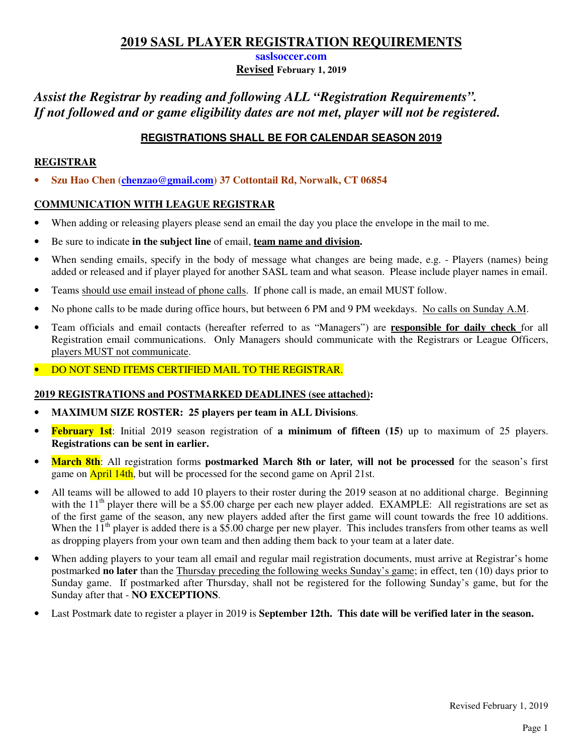**saslsoccer.com**

**Revised February 1, 2019** 

# *Assist the Registrar by reading and following ALL "Registration Requirements". If not followed and or game eligibility dates are not met, player will not be registered.*

## **REGISTRATIONS SHALL BE FOR CALENDAR SEASON 2019**

## **REGISTRAR**

• **Szu Hao Chen (chenzao@gmail.com) 37 Cottontail Rd, Norwalk, CT 06854**

## **COMMUNICATION WITH LEAGUE REGISTRAR**

- When adding or releasing players please send an email the day you place the envelope in the mail to me.
- Be sure to indicate **in the subject line** of email, **team name and division.**
- When sending emails, specify in the body of message what changes are being made, e.g. Players (names) being added or released and if player played for another SASL team and what season. Please include player names in email.
- Teams should use email instead of phone calls. If phone call is made, an email MUST follow.
- No phone calls to be made during office hours, but between 6 PM and 9 PM weekdays. No calls on Sunday A.M.
- Team officials and email contacts (hereafter referred to as "Managers") are **responsible for daily check** for all Registration email communications. Only Managers should communicate with the Registrars or League Officers, players MUST not communicate.
- DO NOT SEND ITEMS CERTIFIED MAIL TO THE REGISTRAR.

### **2019 REGISTRATIONS and POSTMARKED DEADLINES (see attached):**

- **MAXIMUM SIZE ROSTER: 25 players per team in ALL Divisions**.
- **February 1st**: Initial 2019 season registration of **a minimum of fifteen (15)** up to maximum of 25 players. **Registrations can be sent in earlier.**
- **March 8th**: All registration forms **postmarked March 8th or later***,* **will not be processed** for the season's first game on **April 14th**, but will be processed for the second game on April 21st.
- All teams will be allowed to add 10 players to their roster during the 2019 season at no additional charge. Beginning with the  $11<sup>th</sup>$  player there will be a \$5.00 charge per each new player added. EXAMPLE: All registrations are set as of the first game of the season, any new players added after the first game will count towards the free 10 additions. When the  $11^{th}$  player is added there is a \$5.00 charge per new player. This includes transfers from other teams as well as dropping players from your own team and then adding them back to your team at a later date.
- When adding players to your team all email and regular mail registration documents, must arrive at Registrar's home postmarked **no later** than the Thursday preceding the following weeks Sunday's game; in effect, ten (10) days prior to Sunday game. If postmarked after Thursday, shall not be registered for the following Sunday's game, but for the Sunday after that - **NO EXCEPTIONS**.
- Last Postmark date to register a player in 2019 is **September 12th. This date will be verified later in the season.**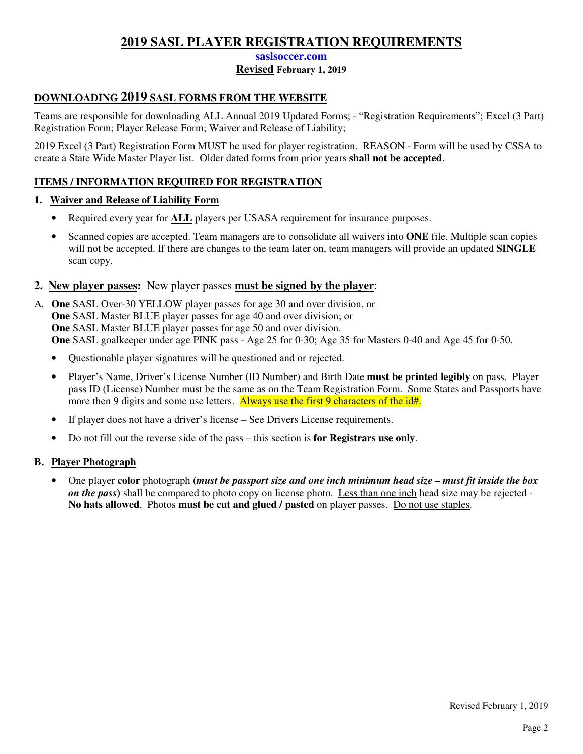#### **saslsoccer.com**

### **Revised February 1, 2019**

## **DOWNLOADING 2019 SASL FORMS FROM THE WEBSITE**

Teams are responsible for downloading ALL Annual 2019 Updated Forms; - "Registration Requirements"; Excel (3 Part) Registration Form; Player Release Form; Waiver and Release of Liability;

2019 Excel (3 Part) Registration Form MUST be used for player registration. REASON - Form will be used by CSSA to create a State Wide Master Player list. Older dated forms from prior years **shall not be accepted**.

### **ITEMS / INFORMATION REQUIRED FOR REGISTRATION**

#### **1. Waiver and Release of Liability Form**

- Required every year for **ALL** players per USASA requirement for insurance purposes.
- Scanned copies are accepted. Team managers are to consolidate all waivers into **ONE** file. Multiple scan copies will not be accepted. If there are changes to the team later on, team managers will provide an updated **SINGLE** scan copy.

## **2. New player passes:** New player passes **must be signed by the player**:

- A*.* **One** SASL Over-30 YELLOW player passes for age 30 and over division, or  **One** SASL Master BLUE player passes for age 40 and over division; or **One** SASL Master BLUE player passes for age 50 and over division.  **One** SASL goalkeeper under age PINK pass - Age 25 for 0-30; Age 35 for Masters 0-40 and Age 45 for 0-50.
	- Questionable player signatures will be questioned and or rejected.
	- Player's Name, Driver's License Number (ID Number) and Birth Date **must be printed legibly** on pass. Player pass ID (License) Number must be the same as on the Team Registration Form. Some States and Passports have more then 9 digits and some use letters. Always use the first 9 characters of the id#.
	- If player does not have a driver's license See Drivers License requirements.
	- Do not fill out the reverse side of the pass this section is **for Registrars use only**.

#### **B. Player Photograph**

• One player **color** photograph (*must be passport size and one inch minimum head size – must fit inside the box on the pass***)** shall be compared to photo copy on license photo. Less than one inch head size may be rejected - **No hats allowed**. Photos **must be cut and glued / pasted** on player passes. Do not use staples.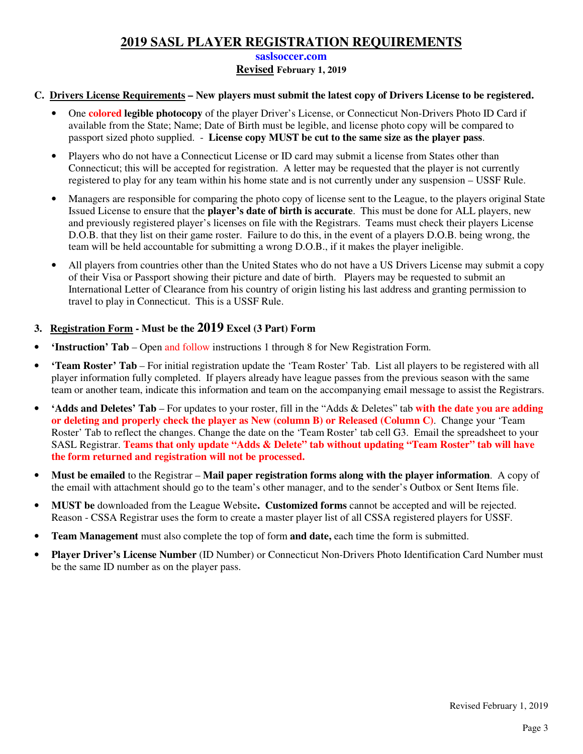#### **saslsoccer.com**

### **Revised February 1, 2019**

### **C. Drivers License Requirements – New players must submit the latest copy of Drivers License to be registered.**

- One **colored legible photocopy** of the player Driver's License, or Connecticut Non-Drivers Photo ID Card if available from the State; Name; Date of Birth must be legible, and license photo copy will be compared to passport sized photo supplied. - **License copy MUST be cut to the same size as the player pass**.
- Players who do not have a Connecticut License or ID card may submit a license from States other than Connecticut; this will be accepted for registration. A letter may be requested that the player is not currently registered to play for any team within his home state and is not currently under any suspension – USSF Rule.
- Managers are responsible for comparing the photo copy of license sent to the League, to the players original State Issued License to ensure that the **player's date of birth is accurate**. This must be done for ALL players, new and previously registered player's licenses on file with the Registrars. Teams must check their players License D.O.B. that they list on their game roster. Failure to do this, in the event of a players D.O.B. being wrong, the team will be held accountable for submitting a wrong D.O.B., if it makes the player ineligible.
- All players from countries other than the United States who do not have a US Drivers License may submit a copy of their Visa or Passport showing their picture and date of birth. Players may be requested to submit an International Letter of Clearance from his country of origin listing his last address and granting permission to travel to play in Connecticut. This is a USSF Rule.

### **3. Registration Form - Must be the 2019 Excel (3 Part) Form**

- **'Instruction' Tab** Open and follow instructions 1 through 8 for New Registration Form.
- **'Team Roster' Tab** For initial registration update the 'Team Roster' Tab. List all players to be registered with all player information fully completed. If players already have league passes from the previous season with the same team or another team, indicate this information and team on the accompanying email message to assist the Registrars.
- **'Adds and Deletes' Tab** For updates to your roster, fill in the "Adds & Deletes" tab **with the date you are adding or deleting and properly check the player as New (column B) or Released (Column C)**. Change your 'Team Roster' Tab to reflect the changes. Change the date on the 'Team Roster' tab cell G3. Email the spreadsheet to your SASL Registrar. **Teams that only update "Adds & Delete" tab without updating "Team Roster" tab will have the form returned and registration will not be processed.**
- **Must be emailed** to the Registrar **Mail paper registration forms along with the player information**.A copy of the email with attachment should go to the team's other manager, and to the sender's Outbox or Sent Items file.
- **MUST be** downloaded from the League Website**. Customized forms** cannot be accepted and will be rejected. Reason - CSSA Registrar uses the form to create a master player list of all CSSA registered players for USSF.
- **Team Management** must also complete the top of form **and date,** each time the form is submitted.
- **Player Driver's License Number** (ID Number) or Connecticut Non-Drivers Photo Identification Card Number must be the same ID number as on the player pass.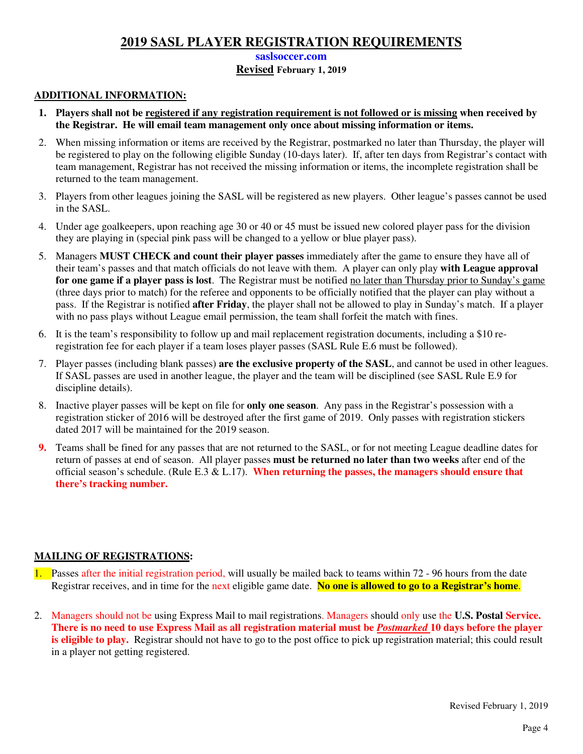#### **saslsoccer.com**

### **Revised February 1, 2019**

### **ADDITIONAL INFORMATION:**

- **1. Players shall not be registered if any registration requirement is not followed or is missing when received by the Registrar. He will email team management only once about missing information or items.**
- 2. When missing information or items are received by the Registrar, postmarked no later than Thursday, the player will be registered to play on the following eligible Sunday (10-days later). If, after ten days from Registrar's contact with team management, Registrar has not received the missing information or items, the incomplete registration shall be returned to the team management.
- 3. Players from other leagues joining the SASL will be registered as new players. Other league's passes cannot be used in the SASL.
- 4. Under age goalkeepers, upon reaching age 30 or 40 or 45 must be issued new colored player pass for the division they are playing in (special pink pass will be changed to a yellow or blue player pass).
- 5. Managers **MUST CHECK and count their player passes** immediately after the game to ensure they have all of their team's passes and that match officials do not leave with them. A player can only play **with League approval for one game if a player pass is lost**. The Registrar must be notified no later than Thursday prior to Sunday's game (three days prior to match) for the referee and opponents to be officially notified that the player can play without a pass. If the Registrar is notified **after Friday**, the player shall not be allowed to play in Sunday's match. If a player with no pass plays without League email permission, the team shall forfeit the match with fines.
- 6. It is the team's responsibility to follow up and mail replacement registration documents, including a \$10 reregistration fee for each player if a team loses player passes (SASL Rule E.6 must be followed).
- 7. Player passes (including blank passes) **are the exclusive property of the SASL**, and cannot be used in other leagues. If SASL passes are used in another league, the player and the team will be disciplined (see SASL Rule E.9 for discipline details).
- 8. Inactive player passes will be kept on file for **only one season**. Any pass in the Registrar's possession with a registration sticker of 2016 will be destroyed after the first game of 2019. Only passes with registration stickers dated 2017 will be maintained for the 2019 season.
- **9.** Teams shall be fined for any passes that are not returned to the SASL, or for not meeting League deadline dates for return of passes at end of season. All player passes **must be returned no later than two weeks** after end of the official season's schedule. (Rule E.3 & L.17). **When returning the passes, the managers should ensure that there's tracking number.**

## **MAILING OF REGISTRATIONS:**

- 1. Passes after the initial registration period, will usually be mailed back to teams within 72 96 hours from the date Registrar receives, and in time for the next eligible game date. **No one is allowed to go to a Registrar's home**.
- 2. Managers should not be using Express Mail to mail registrations. Managers should only use the **U.S. Postal Service. There is no need to use Express Mail as all registration material must be** *Postmarked* **10 days before the player is eligible to play.** Registrar should not have to go to the post office to pick up registration material; this could result in a player not getting registered.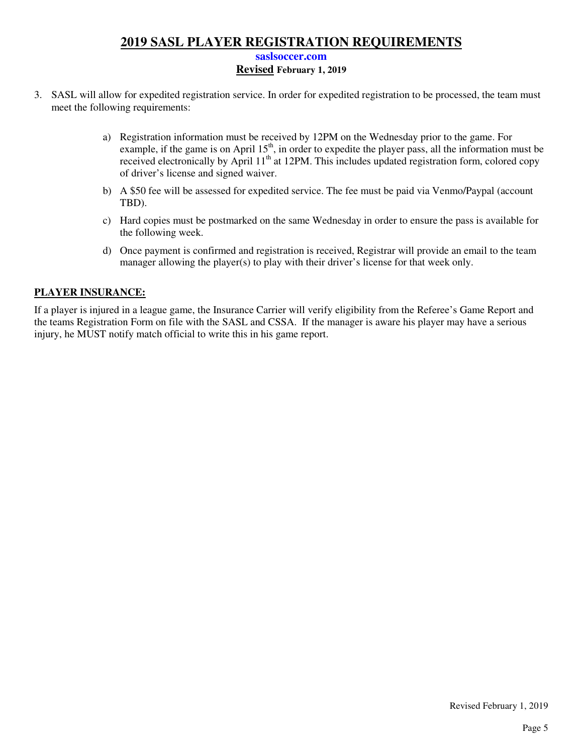#### **saslsoccer.com**

### **Revised February 1, 2019**

- 3. SASL will allow for expedited registration service. In order for expedited registration to be processed, the team must meet the following requirements:
	- a) Registration information must be received by 12PM on the Wednesday prior to the game. For example, if the game is on April  $15<sup>th</sup>$ , in order to expedite the player pass, all the information must be received electronically by April 11<sup>th</sup> at 12PM. This includes updated registration form, colored copy of driver's license and signed waiver.
	- b) A \$50 fee will be assessed for expedited service. The fee must be paid via Venmo/Paypal (account TBD).
	- c) Hard copies must be postmarked on the same Wednesday in order to ensure the pass is available for the following week.
	- d) Once payment is confirmed and registration is received, Registrar will provide an email to the team manager allowing the player(s) to play with their driver's license for that week only.

#### **PLAYER INSURANCE:**

If a player is injured in a league game, the Insurance Carrier will verify eligibility from the Referee's Game Report and the teams Registration Form on file with the SASL and CSSA. If the manager is aware his player may have a serious injury, he MUST notify match official to write this in his game report.